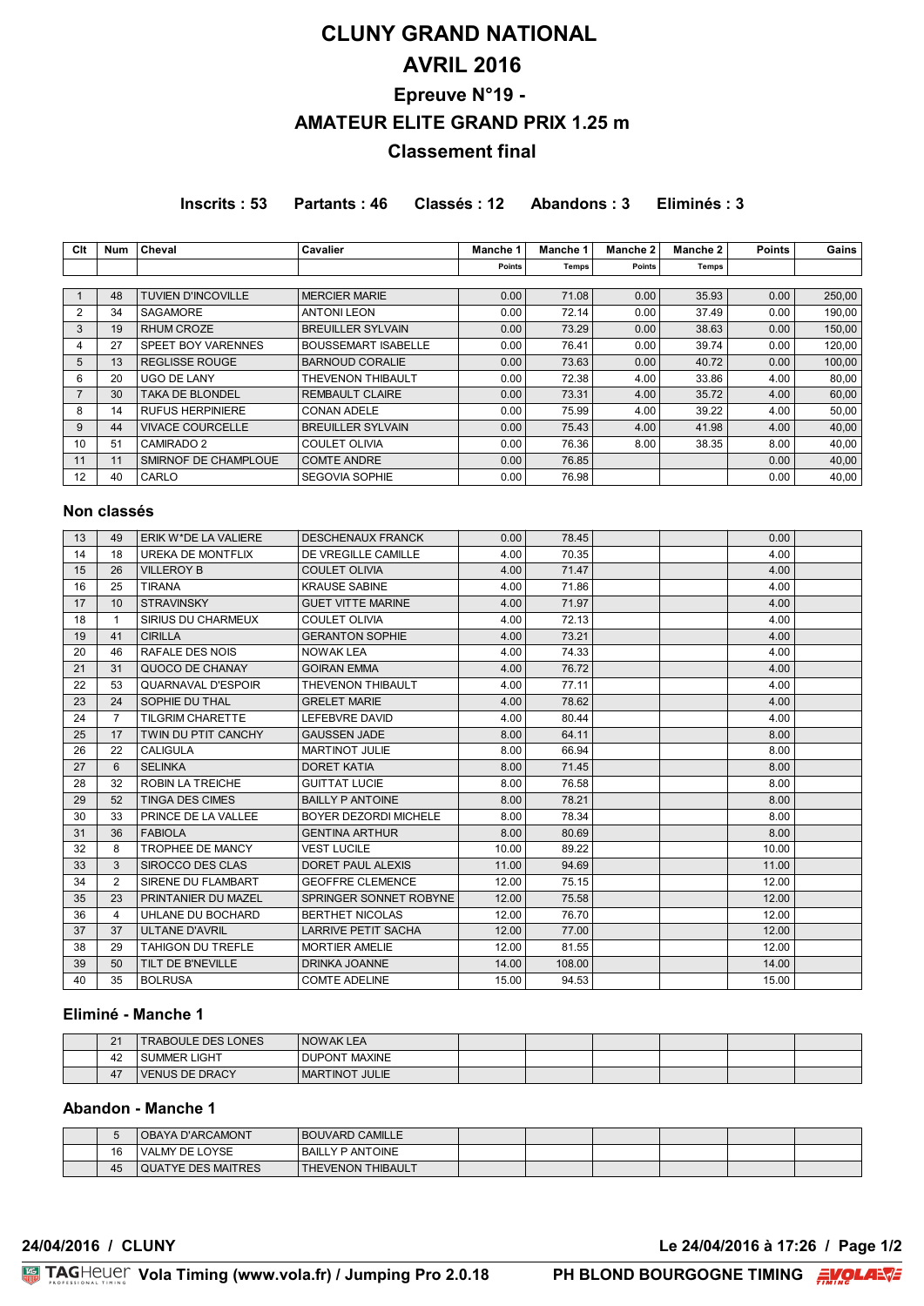# **CLUNY GRAND NATIONAL AVRIL 2016 Epreuve N°19 - AMATEUR ELITE GRAND PRIX 1.25 m Classement final**

**Inscrits : 53 Partants : 46 Classés : 12 Abandons : 3 Eliminés : 3**

| Clt            | Num | Cheval                    | <b>Cavalier</b>            | Manche 1 | <b>Manche 1</b> | Manche 2 | Manche 2 | <b>Points</b> | Gains  |
|----------------|-----|---------------------------|----------------------------|----------|-----------------|----------|----------|---------------|--------|
|                |     |                           |                            | Points   | Temps!          | Points   | Temps    |               |        |
|                |     |                           |                            |          |                 |          |          |               |        |
|                | 48  | <b>TUVIEN D'INCOVILLE</b> | <b>MERCIER MARIE</b>       | 0.00     | 71.08           | 0.00     | 35.93    | 0.00          | 250,00 |
| 2              | 34  | SAGAMORE                  | <b>ANTONI LEON</b>         | 0.00     | 72.14           | 0.00     | 37.49    | 0.00          | 190,00 |
| 3              | 19  | RHUM CROZE                | <b>BREUILLER SYLVAIN</b>   | 0.00     | 73.29           | 0.00     | 38.63    | 0.00          | 150,00 |
| 4              | 27  | SPEET BOY VARENNES        | <b>BOUSSEMART ISABELLE</b> | 0.00     | 76.41           | 0.00     | 39.74    | 0.00          | 120,00 |
| 5              | 13  | <b>REGLISSE ROUGE</b>     | <b>BARNOUD CORALIE</b>     | 0.00     | 73.63           | 0.00     | 40.72    | 0.00          | 100,00 |
| 6              | 20  | UGO DE LANY               | THEVENON THIBAULT          | 0.00     | 72.38           | 4.00     | 33.86    | 4.00          | 80,00  |
| $\overline{7}$ | 30  | TAKA DE BLONDEL           | <b>REMBAULT CLAIRE</b>     | 0.00     | 73.31           | 4.00     | 35.72    | 4.00          | 60,00  |
| 8              | 14  | <b>RUFUS HERPINIERE</b>   | <b>CONAN ADELE</b>         | 0.00     | 75.99           | 4.00     | 39.22    | 4.00          | 50,00  |
| 9              | 44  | <b>VIVACE COURCELLE</b>   | <b>BREUILLER SYLVAIN</b>   | 0.00     | 75.43           | 4.00     | 41.98    | 4.00          | 40,00  |
| 10             | 51  | <b>CAMIRADO 2</b>         | <b>COULET OLIVIA</b>       | 0.00     | 76.36           | 8.00     | 38.35    | 8.00          | 40,00  |
| 11             | 11  | SMIRNOF DE CHAMPLOUE      | <b>COMTE ANDRE</b>         | 0.00     | 76.85           |          |          | 0.00          | 40,00  |
| 12             | 40  | CARLO                     | <b>SEGOVIA SOPHIE</b>      | 0.00     | 76.98           |          |          | 0.00          | 40,00  |

### **Non classés**

| 13 | 49             | ERIK W*DE LA VALIERE      | <b>DESCHENAUX FRANCK</b>     | 0.00  | 78.45  | 0.00  |  |
|----|----------------|---------------------------|------------------------------|-------|--------|-------|--|
| 14 | 18             | <b>UREKA DE MONTFLIX</b>  | DE VREGILLE CAMILLE          | 4.00  | 70.35  | 4.00  |  |
| 15 | 26             | <b>VILLEROY B</b>         | <b>COULET OLIVIA</b>         | 4.00  | 71.47  | 4.00  |  |
| 16 | 25             | <b>TIRANA</b>             | <b>KRAUSE SABINE</b>         | 4.00  | 71.86  | 4.00  |  |
| 17 | 10             | <b>STRAVINSKY</b>         | <b>GUET VITTE MARINE</b>     | 4.00  | 71.97  | 4.00  |  |
| 18 |                | SIRIUS DU CHARMEUX        | <b>COULET OLIVIA</b>         | 4.00  | 72.13  | 4.00  |  |
| 19 | 41             | <b>CIRILLA</b>            | <b>GERANTON SOPHIE</b>       | 4.00  | 73.21  | 4.00  |  |
| 20 | 46             | <b>RAFALE DES NOIS</b>    | <b>NOWAK LEA</b>             | 4.00  | 74.33  | 4.00  |  |
| 21 | 31             | QUOCO DE CHANAY           | <b>GOIRAN EMMA</b>           | 4.00  | 76.72  | 4.00  |  |
| 22 | 53             | <b>QUARNAVAL D'ESPOIR</b> | THEVENON THIBAULT            | 4.00  | 77.11  | 4.00  |  |
| 23 | 24             | SOPHIE DU THAL            | <b>GRELET MARIE</b>          | 4.00  | 78.62  | 4.00  |  |
| 24 | $\overline{7}$ | <b>TILGRIM CHARETTE</b>   | <b>LEFEBVRE DAVID</b>        | 4.00  | 80.44  | 4.00  |  |
| 25 | 17             | TWIN DU PTIT CANCHY       | <b>GAUSSEN JADE</b>          | 8.00  | 64.11  | 8.00  |  |
| 26 | 22             | CALIGULA                  | <b>MARTINOT JULIE</b>        | 8.00  | 66.94  | 8.00  |  |
| 27 | 6              | <b>SELINKA</b>            | <b>DORET KATIA</b>           | 8.00  | 71.45  | 8.00  |  |
| 28 | 32             | <b>ROBIN LA TREICHE</b>   | <b>GUITTAT LUCIE</b>         | 8.00  | 76.58  | 8.00  |  |
| 29 | 52             | <b>TINGA DES CIMES</b>    | <b>BAILLY P ANTOINE</b>      | 8.00  | 78.21  | 8.00  |  |
| 30 | 33             | PRINCE DE LA VALLEE       | <b>BOYER DEZORDI MICHELE</b> | 8.00  | 78.34  | 8.00  |  |
| 31 | 36             | <b>FABIOLA</b>            | <b>GENTINA ARTHUR</b>        | 8.00  | 80.69  | 8.00  |  |
| 32 | 8              | TROPHEE DE MANCY          | <b>VEST LUCILE</b>           | 10.00 | 89.22  | 10.00 |  |
| 33 | 3              | SIROCCO DES CLAS          | <b>DORET PAUL ALEXIS</b>     | 11.00 | 94.69  | 11.00 |  |
| 34 | $\overline{2}$ | SIRENE DU FLAMBART        | <b>GEOFFRE CLEMENCE</b>      | 12.00 | 75.15  | 12.00 |  |
| 35 | 23             | PRINTANIER DU MAZEL       | SPRINGER SONNET ROBYNE       | 12.00 | 75.58  | 12.00 |  |
| 36 | 4              | UHLANE DU BOCHARD         | <b>BERTHET NICOLAS</b>       | 12.00 | 76.70  | 12.00 |  |
| 37 | 37             | <b>ULTANE D'AVRIL</b>     | <b>LARRIVE PETIT SACHA</b>   | 12.00 | 77.00  | 12.00 |  |
| 38 | 29             | <b>TAHIGON DU TREFLE</b>  | <b>MORTIER AMELIE</b>        | 12.00 | 81.55  | 12.00 |  |
| 39 | 50             | TILT DE B'NEVILLE         | DRINKA JOANNE                | 14.00 | 108.00 | 14.00 |  |
| 40 | 35             | <b>BOLRUSA</b>            | <b>COMTE ADELINE</b>         | 15.00 | 94.53  | 15.00 |  |

# **Eliminé - Manche 1**

| $\Omega$ | <b>TRABOULE DES LONES</b> | <b>NOWAK LEA</b>     |  |  |  |
|----------|---------------------------|----------------------|--|--|--|
| 42       | <b>SUMMER LIGHT</b>       | <b>DUPONT MAXINE</b> |  |  |  |
| 47       | <b>VENUS DE DRACY</b>     | I MARTINOT JULIE     |  |  |  |

#### **Abandon - Manche 1**

|    | <b>OBAYA D'ARCAMONT</b>   | <b>BOUVARD CAMILLE</b> |  |  |  |
|----|---------------------------|------------------------|--|--|--|
| 16 | 'VALMY DE LOYSE           | I BAILLY P ANTOINE     |  |  |  |
| 45 | <b>QUATYE DES MAITRES</b> | I THEVENON THIBAULT    |  |  |  |

**24/04/2016 / CLUNY Le 24/04/2016 à 17:26 / Page 1/2**